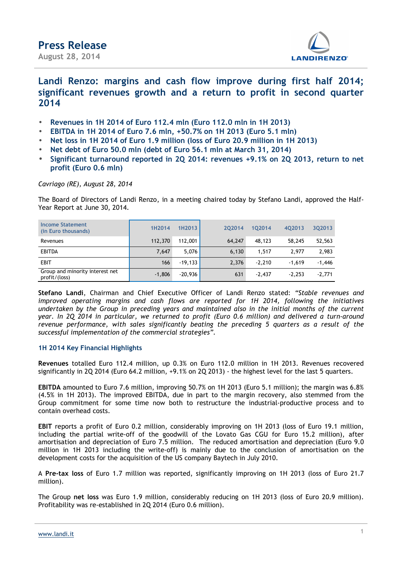

## **Landi Renzo: margins and cash flow improve during first half 2014; significant revenues growth and a return to profit in second quarter 2014**

- **Revenues in 1H 2014 of Euro 112.4 mln (Euro 112.0 mln in 1H 2013)**
- **EBITDA in 1H 2014 of Euro 7.6 mln, +50.7% on 1H 2013 (Euro 5.1 mln)**
- **Net loss in 1H 2014 of Euro 1.9 million (loss of Euro 20.9 million in 1H 2013)**
- **Net debt of Euro 50.0 mln (debt of Euro 56.1 mln at March 31, 2014)**
- **Significant turnaround reported in 2Q 2014: revenues +9.1% on 2Q 2013, return to net profit (Euro 0.6 mln)**

*Cavriago (RE), August 28, 2014*

The Board of Directors of Landi Renzo, in a meeting chaired today by Stefano Landi, approved the Half-Year Report at June 30, 2014.

| Income Statement<br>(in Euro thousands)          | 1H2014   | 1H2013    | 202014 | 102014   | 402013   | 302013   |
|--------------------------------------------------|----------|-----------|--------|----------|----------|----------|
| Revenues                                         | 112,370  | 112,001   | 64.247 | 48.123   | 58,245   | 52,563   |
| <b>EBITDA</b>                                    | 7.647    | 5.076     | 6,130  | 1.517    | 2.977    | 2,983    |
| <b>EBIT</b>                                      | 166      | $-19,133$ | 2,376  | $-2.210$ | $-1.619$ | $-1,446$ |
| Group and minority interest net<br>profit/(loss) | $-1,806$ | $-20,936$ | 631    | $-2.437$ | $-2.253$ | $-2,771$ |

**Stefano Landi**, Chairman and Chief Executive Officer of Landi Renzo stated: *"Stable revenues and improved operating margins and cash flows are reported for 1H 2014, following the initiatives undertaken by the Group in preceding years and maintained also in the initial months of the current year. In 2Q 2014 in particular, we returned to profit (Euro 0.6 million) and delivered a turn-around revenue performance, with sales significantly beating the preceding 5 quarters as a result of the successful implementation of the commercial strategies".*

## **1H 2014 Key Financial Highlights**

**Revenues** totalled Euro 112.4 million, up 0.3% on Euro 112.0 million in 1H 2013. Revenues recovered significantly in 2Q 2014 (Euro 64.2 million, +9.1% on 2Q 2013) - the highest level for the last 5 quarters.

**EBITDA** amounted to Euro 7.6 million, improving 50.7% on 1H 2013 (Euro 5.1 million); the margin was 6.8% (4.5% in 1H 2013). The improved EBITDA, due in part to the margin recovery, also stemmed from the Group commitment for some time now both to restructure the industrial-productive process and to contain overhead costs.

**EBIT** reports a profit of Euro 0.2 million, considerably improving on 1H 2013 (loss of Euro 19.1 million, including the partial write-off of the goodwill of the Lovato Gas CGU for Euro 15.2 million), after amortisation and depreciation of Euro 7.5 million. The reduced amortisation and depreciation (Euro 9.0 million in 1H 2013 including the write-off) is mainly due to the conclusion of amortisation on the development costs for the acquisition of the US company Baytech in July 2010.

A **Pre-tax loss** of Euro 1.7 million was reported, significantly improving on 1H 2013 (loss of Euro 21.7 million).

The Group **net loss** was Euro 1.9 million, considerably reducing on 1H 2013 (loss of Euro 20.9 million). Profitability was re-established in 2Q 2014 (Euro 0.6 million).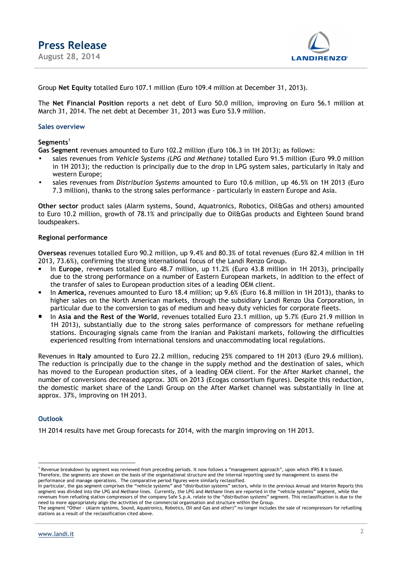

Group **Net Equity** totalled Euro 107.1 million (Euro 109.4 million at December 31, 2013).

The **Net Financial Position** reports a net debt of Euro 50.0 million, improving on Euro 56.1 million at March 31, 2014. The net debt at December 31, 2013 was Euro 53.9 million.

## **Sales overview**

## **Segments**<sup>1</sup>

**Gas Segment** revenues amounted to Euro 102.2 million (Euro 106.3 in 1H 2013); as follows:

- sales revenues from *Vehicle Systems (LPG and Methane)* totalled Euro 91.5 million (Euro 99.0 million in 1H 2013); the reduction is principally due to the drop in LPG system sales, particularly in Italy and western Europe;
- sales revenues from *Distribution Systems* amounted to Euro 10.6 million, up 46.5% on 1H 2013 (Euro 7.3 million), thanks to the strong sales performance - particularly in eastern Europe and Asia.

**Other sector** product sales (Alarm systems, Sound, Aquatronics, Robotics, Oil&Gas and others) amounted to Euro 10.2 million, growth of 78.1% and principally due to Oil&Gas products and Eighteen Sound brand loudspeakers.

## **Regional performance**

**Overseas** revenues totalled Euro 90.2 million, up 9.4% and 80.3% of total revenues (Euro 82.4 million in 1H 2013, 73.6%), confirming the strong international focus of the Landi Renzo Group.

- In **Europe**, revenues totalled Euro 48.7 million, up 11.2% (Euro 43.8 million in 1H 2013), principally due to the strong performance on a number of Eastern European markets, in addition to the effect of the transfer of sales to European production sites of a leading OEM client.
- In **America,** revenues amounted to Euro 18.4 million; up 9.6% (Euro 16.8 million in 1H 2013), thanks to higher sales on the North American markets, through the subsidiary Landi Renzo Usa Corporation, in particular due to the conversion to gas of medium and heavy duty vehicles for corporate fleets.
- In **Asia and the Rest of the World**, revenues totalled Euro 23.1 million, up 5.7% (Euro 21.9 million in 1H 2013), substantially due to the strong sales performance of compressors for methane refueling stations. Encouraging signals came from the Iranian and Pakistani markets, following the difficulties experienced resulting from international tensions and unaccommodating local regulations.

Revenues in **Italy** amounted to Euro 22.2 million, reducing 25% compared to 1H 2013 (Euro 29.6 million). The reduction is principally due to the change in the supply method and the destination of sales, which has moved to the European production sites, of a leading OEM client. For the After Market channel, the number of conversions decreased approx. 30% on 2013 (Ecogas consortium figures). Despite this reduction, the domestic market share of the Landi Group on the After Market channel was substantially in line at approx. 37%, improving on 1H 2013.

## **Outlook**

 $\overline{a}$ 

1H 2014 results have met Group forecasts for 2014, with the margin improving on 1H 2013.

<sup>&</sup>lt;sup>1</sup> Revenue breakdown by segment was reviewed from preceding periods. It now follows a "management approach", upon which IFRS 8 is based. Therefore, the segments are shown on the basis of the organisational structure and the internal reporting used by management to assess the performance and manage operations. The comparative period figures were similarly reclassified.

In particular, the gas segment comprises the "vehicle systems" and "distribution systems" sectors, while in the previous Annual and Interim Reports this segment was divided into the LPG and Methane lines. Currently, the LPG and Methane lines are reported in the "vehicle systems" segment, while the revenues from refueling station compressors of the company Safe S.p.A. relate to the "distribution systems" segment. This reclassification is due to the need to more appropriately align the activities of the commercial organisation and structure within the Group.

The segment "Other - (Alarm systems, Sound, Aquatronics, Robotics, Oil and Gas and other)" no longer includes the sale of recompressors for refuelling stations as a result of the reclassification cited above.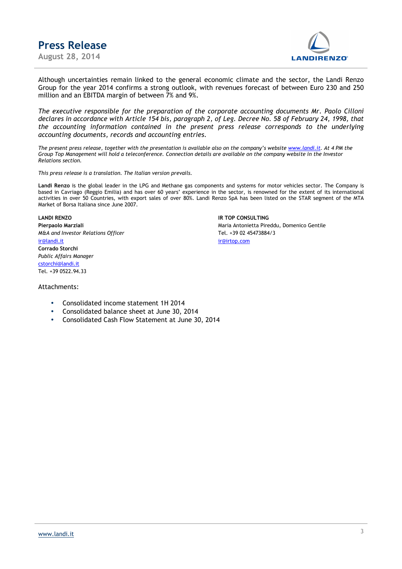**Press Release August 28, 2014** 



Although uncertainties remain linked to the general economic climate and the sector, the Landi Renzo Group for the year 2014 confirms a strong outlook, with revenues forecast of between Euro 230 and 250 million and an EBITDA margin of between 7% and 9%.

*The executive responsible for the preparation of the corporate accounting documents Mr. Paolo Cilloni declares in accordance with Article 154 bis, paragraph 2, of Leg. Decree No. 58 of February 24, 1998, that the accounting information contained in the present press release corresponds to the underlying accounting documents, records and accounting entries.*

*The present press release, together with the presentation is available also on the company's website www.landi.it. At 4 PM the Group Top Management will hold a teleconference. Connection details are available on the company website in the Investor Relations section.* 

*This press release is a translation. The Italian version prevails.*

**Landi Renzo** is the global leader in the LPG and Methane gas components and systems for motor vehicles sector. The Company is based in Cavriago (Reggio Emilia) and has over 60 years' experience in the sector, is renowned for the extent of its international activities in over 50 Countries, with export sales of over 80%. Landi Renzo SpA has been listed on the STAR segment of the MTA Market of Borsa Italiana since June 2007.

*M&A and Investor Relations Officer* Tel. +39 02 45473884/3 ir@landi.it ir@irtop.com **Corrado Storchi**  *Public Affairs Manager*  cstorchi@landi.it Tel. +39 0522.94.33

**LANDI RENZO IR TOP CONSULTING Pierpaolo Marziali <b>Marziali Antonietta Pireddu, Domenico Gentile Pireddu, Domenico Gentile** 

### Attachments:

- Consolidated income statement 1H 2014
- Consolidated balance sheet at June 30, 2014
- Consolidated Cash Flow Statement at June 30, 2014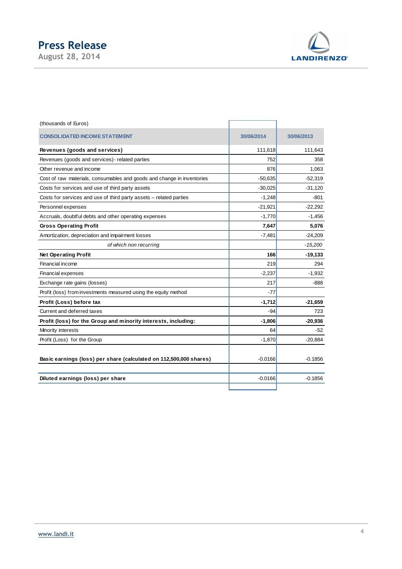# **Press Release**

**August 28, 2014** 



| (thousands of Euros)                                                   |            |            |
|------------------------------------------------------------------------|------------|------------|
| <b>CONSOLIDATED INCOME STATEMENT</b>                                   | 30/06/2014 | 30/06/2013 |
| Revenues (goods and services)                                          | 111,618    | 111,643    |
| Revenues (goods and services)- related parties                         | 752        | 358        |
| Other revenue and income                                               | 876        | 1,063      |
| Cost of raw materials, consumables and goods and change in inventories | $-50,635$  | $-52,319$  |
| Costs for services and use of third party assets                       | $-30,025$  | $-31,120$  |
| Costs for services and use of third party assets - related parties     | $-1,248$   | -801       |
| Personnel expenses                                                     | $-21,921$  | $-22,292$  |
| Accruals, doubtful debts and other operating expenses                  | $-1,770$   | $-1,456$   |
| <b>Gross Operating Profit</b>                                          | 7,647      | 5,076      |
| Amortization, depreciation and impairment losses                       | $-7,481$   | $-24,209$  |
| of which non recurring                                                 |            | $-15,200$  |
| <b>Net Operating Profit</b>                                            | 166        | $-19,133$  |
| Financial income                                                       | 219        | 294        |
| Financial expenses                                                     | $-2,237$   | $-1,932$   |
| Exchange rate gains (losses)                                           | 217        | $-888$     |
| Profit (loss) from investments measured using the equity method        | $-77$      |            |
| Profit (Loss) before tax                                               | $-1,712$   | $-21,659$  |
| Current and deferred taxes                                             | $-94$      | 723        |
| Profit (loss) for the Group and minority interests, including:         | $-1,806$   | $-20,936$  |
| Minority interests                                                     | 64         | $-52$      |
| Profit (Loss) for the Group                                            | $-1,870$   | $-20,884$  |
| Basic earnings (loss) per share (calculated on 112,500,000 shares)     | $-0.0166$  | $-0.1856$  |
| Diluted earnings (loss) per share                                      | $-0.0166$  | $-0.1856$  |
|                                                                        |            |            |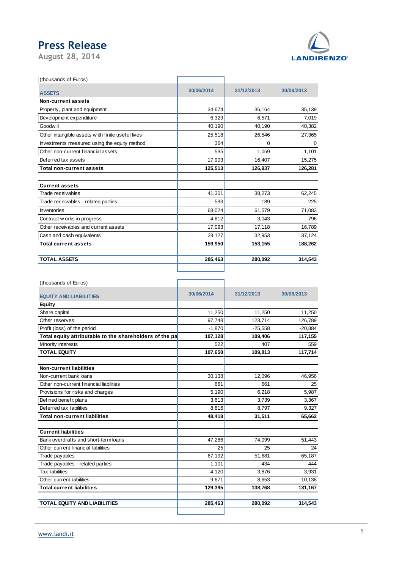# **Press Release**

**August 28, 2014** 



| (thousands of Euros)                             |            |            |            |
|--------------------------------------------------|------------|------------|------------|
| <b>ASSETS</b>                                    | 30/06/2014 | 31/12/2013 | 30/06/2013 |
| Non-current assets                               |            |            |            |
| Property, plant and equipment                    | 34.674     | 36.164     | 35,139     |
| Development expenditure                          | 6,329      | 6,571      | 7,019      |
| Goodw ill                                        | 40,190     | 40,190     | 40,382     |
| Other intangible assets with finite useful lives | 25,518     | 26,546     | 27,365     |
| Investments measured using the equity method     | 364        | 0          | 0          |
| Other non-current financial assets               | 535        | 1,059      | 1,101      |
| Deferred tax assets                              | 17,903     | 16,407     | 15,275     |
| <b>Total non-current assets</b>                  | 125,513    | 126,937    | 126,281    |
|                                                  |            |            |            |
| <b>Current assets</b>                            |            |            |            |
| Trade receivables                                | 41,301     | 38,273     | 62,245     |
| Trade receivables - related parties              | 593        | 189        | 225        |
| <b>Inventories</b>                               | 68,024     | 61,579     | 71,083     |
| Contract w orks in progress                      | 4,812      | 3,043      | 796        |
| Other receivables and current assets             | 17,093     | 17,118     | 16,789     |
| Cash and cash equivalents                        | 28,127     | 32,953     | 37,124     |
| <b>Total current assets</b>                      | 159,950    | 153,155    | 188,262    |
| <b>TOTAL ASSETS</b>                              | 285,463    | 280,092    | 314,543    |
|                                                  |            |            |            |

٦

(thousands of Euros)

| <b>EQUITY AND LIABILITIES</b>                           | 30/06/2014 | 31/12/2013 | 30/06/2013 |
|---------------------------------------------------------|------------|------------|------------|
| <b>Equity</b>                                           |            |            |            |
| Share capital                                           | 11,250     | 11,250     | 11,250     |
| Other reserves                                          | 97,748     | 123,714    | 126,789    |
| Profit (loss) of the period                             | $-1,870$   | $-25,558$  | $-20,884$  |
| Total equity attributable to the shareholders of the pa | 107,128    | 109,406    | 117,155    |
| Minority interests                                      | 522        | 407        | 559        |
| <b>TOTAL EQUITY</b>                                     | 107,650    | 109,813    | 117,714    |
|                                                         |            |            |            |
| Non-current liabilities                                 |            |            |            |
| Non-current bank loans                                  | 30,138     | 12,096     | 46,956     |
| Other non-current financial liabilities                 | 661        | 661        | 25         |
| Provisions for risks and charges                        | 5,190      | 6,218      | 5,987      |
| Defined benefit plans                                   | 3,613      | 3.739      | 3,367      |
| Deferred tax liabilities                                | 8,816      | 8,797      | 9,327      |
| <b>Total non-current liabilities</b>                    | 48,418     | 31,511     | 65,662     |
| <b>Current liabilities</b>                              |            |            |            |
| Bank overdrafts and short-term loans                    | 47,286     | 74,099     | 51,443     |
| Other current financial liabilities                     | 25         | 25         | 24         |
| Trade payables                                          | 67,192     | 51,681     | 65,187     |
| Trade payables - related parties                        | 1,101      | 434        | 444        |
| <b>Tax liabilities</b>                                  | 4,120      | 3,876      | 3,931      |
| Other current liabilities                               | 9,671      | 8,653      | 10,138     |
| <b>Total current liabilities</b>                        | 129,395    | 138,768    | 131,167    |
| <b>TOTAL EQUITY AND LIABILITIES</b>                     | 285,463    | 280,092    | 314,543    |
|                                                         |            |            |            |